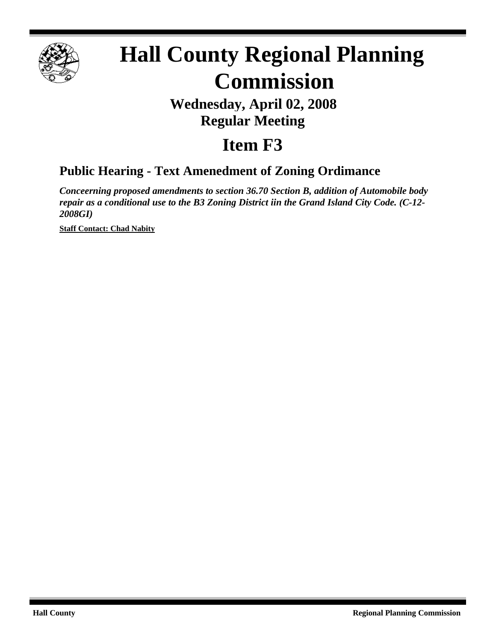

# **Hall County Regional Planning Commission**

## **Wednesday, April 02, 2008 Regular Meeting**

# **Item F3**

### **Public Hearing - Text Amenedment of Zoning Ordimance**

*Conceerning proposed amendments to section 36.70 Section B, addition of Automobile body repair as a conditional use to the B3 Zoning District iin the Grand Island City Code. (C-12- 2008GI)*

**Staff Contact: Chad Nabity**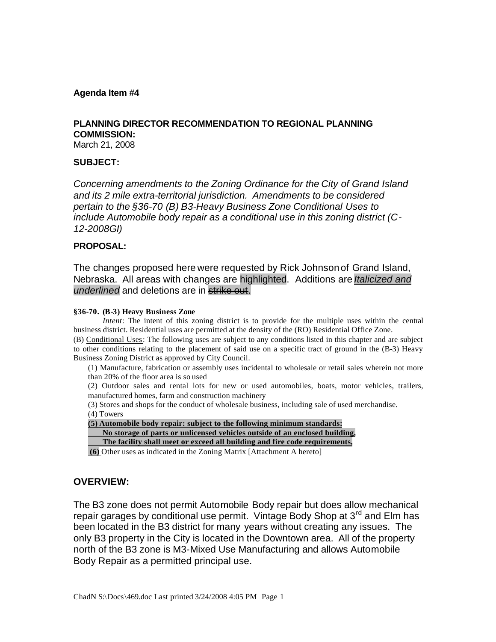#### **Agenda Item #4**

#### **PLANNING DIRECTOR RECOMMENDATION TO REGIONAL PLANNING COMMISSION:**

March 21, 2008

#### **SUBJECT:**

*Concerning amendments to the Zoning Ordinance for the City of Grand Island and its 2 mile extra-territorial jurisdiction. Amendments to be considered pertain to the §36-70 (B) B3-Heavy Business Zone Conditional Uses to include Automobile body repair as a conditional use in this zoning district (C-12-2008GI)* 

#### **PROPOSAL:**

The changes proposed here were requested by Rick Johnson of Grand Island, Nebraska. All areas with changes are highlighted. Additions are *Italicized and underlined* and deletions are in strike out.

#### **§36-70. (B-3) Heavy Business Zone**

*Intent*: The intent of this zoning district is to provide for the multiple uses within the central business district. Residential uses are permitted at the density of the (RO) Residential Office Zone.

(B) Conditional Uses: The following uses are subject to any conditions listed in this chapter and are subject to other conditions relating to the placement of said use on a specific tract of ground in the (B-3) Heavy Business Zoning District as approved by City Council.

(1) Manufacture, fabrication or assembly uses incidental to wholesale or retail sales wherein not more than 20% of the floor area is so used

(2) Outdoor sales and rental lots for new or used automobiles, boats, motor vehicles, trailers, manufactured homes, farm and construction machinery

(3) Stores and shops for the conduct of wholesale business, including sale of used merchandise. (4) Towers

**(5) Automobile body repair: subject to the following minimum standards:**

**No storage of parts or unlicensed vehicles outside of an enclosed building,**

**The facility shall meet or exceed all building and fire code requirements,**

**(6)** Other uses as indicated in the Zoning Matrix [Attachment A hereto]

#### **OVERVIEW:**

The B3 zone does not permit Automobile Body repair but does allow mechanical repair garages by conditional use permit. Vintage Body Shop at 3<sup>rd</sup> and Elm has been located in the B3 district for many years without creating any issues. The only B3 property in the City is located in the Downtown area. All of the property north of the B3 zone is M3-Mixed Use Manufacturing and allows Automobile Body Repair as a permitted principal use.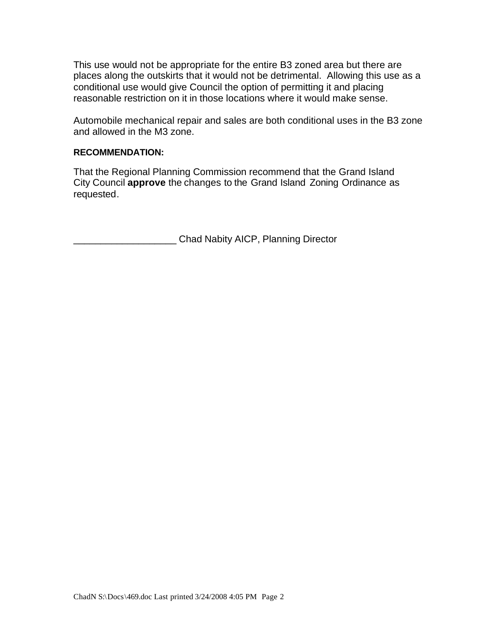This use would not be appropriate for the entire B3 zoned area but there are places along the outskirts that it would not be detrimental. Allowing this use as a conditional use would give Council the option of permitting it and placing reasonable restriction on it in those locations where it would make sense.

Automobile mechanical repair and sales are both conditional uses in the B3 zone and allowed in the M3 zone.

#### **RECOMMENDATION:**

That the Regional Planning Commission recommend that the Grand Island City Council **approve** the changes to the Grand Island Zoning Ordinance as requested.

\_\_\_\_\_\_\_\_\_\_\_\_\_\_\_\_\_\_\_ Chad Nabity AICP, Planning Director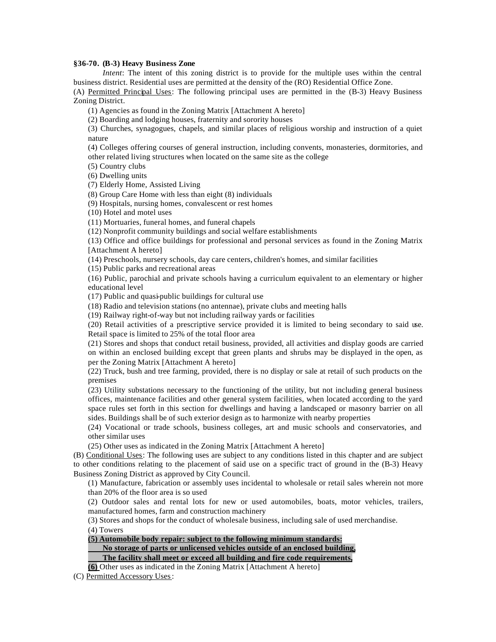#### **§36-70. (B-3) Heavy Business Zone**

*Intent*: The intent of this zoning district is to provide for the multiple uses within the central business district. Residential uses are permitted at the density of the (RO) Residential Office Zone.

(A) Permitted Principal Uses: The following principal uses are permitted in the (B-3) Heavy Business Zoning District.

(1) Agencies as found in the Zoning Matrix [Attachment A hereto]

(2) Boarding and lodging houses, fraternity and sorority houses

(3) Churches, synagogues, chapels, and similar places of religious worship and instruction of a quiet nature

(4) Colleges offering courses of general instruction, including convents, monasteries, dormitories, and other related living structures when located on the same site as the college

(5) Country clubs

(6) Dwelling units

(7) Elderly Home, Assisted Living

(8) Group Care Home with less than eight (8) individuals

(9) Hospitals, nursing homes, convalescent or rest homes

(10) Hotel and motel uses

(11) Mortuaries, funeral homes, and funeral chapels

(12) Nonprofit community buildings and social welfare establishments

(13) Office and office buildings for professional and personal services as found in the Zoning Matrix [Attachment A hereto]

(14) Preschools, nursery schools, day care centers, children's homes, and similar facilities

(15) Public parks and recreational areas

(16) Public, parochial and private schools having a curriculum equivalent to an elementary or higher educational level

(17) Public and quasi-public buildings for cultural use

(18) Radio and television stations (no antennae), private clubs and meeting halls

(19) Railway right-of-way but not including railway yards or facilities

(20) Retail activities of a prescriptive service provided it is limited to being secondary to said use. Retail space is limited to 25% of the total floor area

(21) Stores and shops that conduct retail business, provided, all activities and display goods are carried on within an enclosed building except that green plants and shrubs may be displayed in the open, as per the Zoning Matrix [Attachment A hereto]

(22) Truck, bush and tree farming, provided, there is no display or sale at retail of such products on the premises

(23) Utility substations necessary to the functioning of the utility, but not including general business offices, maintenance facilities and other general system facilities, when located according to the yard space rules set forth in this section for dwellings and having a landscaped or masonry barrier on all sides. Buildings shall be of such exterior design as to harmonize with nearby properties

(24) Vocational or trade schools, business colleges, art and music schools and conservatories, and other similar uses

(25) Other uses as indicated in the Zoning Matrix [Attachment A hereto]

(B) Conditional Uses: The following uses are subject to any conditions listed in this chapter and are subject to other conditions relating to the placement of said use on a specific tract of ground in the (B-3) Heavy Business Zoning District as approved by City Council.

(1) Manufacture, fabrication or assembly uses incidental to wholesale or retail sales wherein not more than 20% of the floor area is so used

(2) Outdoor sales and rental lots for new or used automobiles, boats, motor vehicles, trailers, manufactured homes, farm and construction machinery

(3) Stores and shops for the conduct of wholesale business, including sale of used merchandise. (4) Towers

**(5) Automobile body repair: subject to the following minimum standards:**

**No storage of parts or unlicensed vehicles outside of an enclosed building,**

**The facility shall meet or exceed all building and fire code requirements,**

**(6)** Other uses as indicated in the Zoning Matrix [Attachment A hereto]

(C) Permitted Accessory Uses: